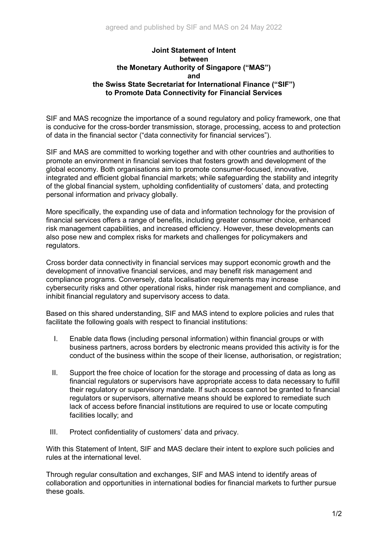## **Joint Statement of Intent between the Monetary Authority of Singapore ("MAS") and the Swiss State Secretariat for International Finance ("SIF") to Promote Data Connectivity for Financial Services**

SIF and MAS recognize the importance of a sound regulatory and policy framework, one that is conducive for the cross-border transmission, storage, processing, access to and protection of data in the financial sector ("data connectivity for financial services").

SIF and MAS are committed to working together and with other countries and authorities to promote an environment in financial services that fosters growth and development of the global economy. Both organisations aim to promote consumer-focused, innovative, integrated and efficient global financial markets; while safeguarding the stability and integrity of the global financial system, upholding confidentiality of customers' data, and protecting personal information and privacy globally.

More specifically, the expanding use of data and information technology for the provision of financial services offers a range of benefits, including greater consumer choice, enhanced risk management capabilities, and increased efficiency. However, these developments can also pose new and complex risks for markets and challenges for policymakers and regulators.

Cross border data connectivity in financial services may support economic growth and the development of innovative financial services, and may benefit risk management and compliance programs. Conversely, data localisation requirements may increase cybersecurity risks and other operational risks, hinder risk management and compliance, and inhibit financial regulatory and supervisory access to data.

Based on this shared understanding, SIF and MAS intend to explore policies and rules that facilitate the following goals with respect to financial institutions:

- I. Enable data flows (including personal information) within financial groups or with business partners, across borders by electronic means provided this activity is for the conduct of the business within the scope of their license, authorisation, or registration;
- II. Support the free choice of location for the storage and processing of data as long as financial regulators or supervisors have appropriate access to data necessary to fulfill their regulatory or supervisory mandate. If such access cannot be granted to financial regulators or supervisors, alternative means should be explored to remediate such lack of access before financial institutions are required to use or locate computing facilities locally; and
- III. Protect confidentiality of customers' data and privacy.

With this Statement of Intent, SIF and MAS declare their intent to explore such policies and rules at the international level.

Through regular consultation and exchanges, SIF and MAS intend to identify areas of collaboration and opportunities in international bodies for financial markets to further pursue these goals.